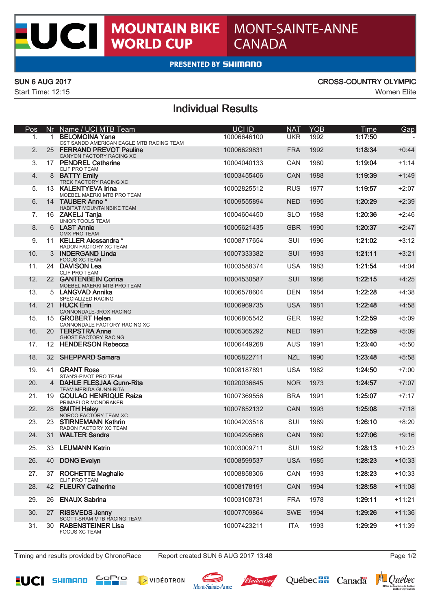# MONT-SAINTE-ANNE **CANADA**

### **PRESENTED BY SHIMANO**

**MOUNTAIN BIKE<br>WORLD CUP** 

X

CI.

Start Time: 12:15 Women Elite

### SUN 6 AUG 2017 CROSS-COUNTRY OLYMPIC

## Individual Results

| Pos            |              | Nr Name / UCI MTB Team                                            | UCI ID      | <b>NAT</b> | <b>YOB</b> | Time    | Gap      |
|----------------|--------------|-------------------------------------------------------------------|-------------|------------|------------|---------|----------|
| $\mathbf{1}$ . | $\mathbf{1}$ | <b>BELOMOINA Yana</b><br>CST SANDD AMERICAN EAGLE MTB RACING TEAM | 10006646100 | <b>UKR</b> | 1992       | 1:17:50 |          |
| 2.             |              | 25 FERRAND PREVOT Pauline<br>CANYON FACTORY RACING XC             | 10006629831 | <b>FRA</b> | 1992       | 1:18:34 | $+0:44$  |
| 3.             |              | 17 PENDREL Catharine<br>CLIF PRO TEAM                             | 10004040133 | <b>CAN</b> | 1980       | 1:19:04 | $+1:14$  |
| 4.             |              | 8 BATTY Emily<br>TREK FACTORY RACING XC                           | 10003455406 | <b>CAN</b> | 1988       | 1:19:39 | $+1:49$  |
| 5.             |              | 13 KALENTYEVA Irina                                               | 10002825512 | <b>RUS</b> | 1977       | 1:19:57 | $+2:07$  |
| 6.             |              | MOEBEL MAERKI MTB PRO TEAM<br>14 TAUBER Anne *                    | 10009555894 | <b>NED</b> | 1995       | 1:20:29 | $+2:39$  |
| 7.             |              | HABITAT MOUNTAINBIKE TEAM<br>16 ZAKELJ Tanja                      | 10004604450 | <b>SLO</b> | 1988       | 1:20:36 | $+2:46$  |
| 8.             |              | UNIOR TOOLS TEAM<br>6 LAST Annie                                  | 10005621435 | <b>GBR</b> | 1990       | 1:20:37 | $+2:47$  |
| 9.             |              | OMX PRO TEAM<br>11 KELLER Alessandra *                            | 10008717654 | SUI        | 1996       | 1:21:02 | $+3:12$  |
| 10.            |              | RADON FACTORY XC TEAM<br>3 INDERGAND Linda                        | 10007333382 | <b>SUI</b> | 1993       | 1:21:11 | $+3:21$  |
| 11.            |              | <b>FOCUS XC TEAM</b><br>24 DAVISON Lea                            | 10003588374 | <b>USA</b> | 1983       | 1:21:54 | $+4:04$  |
| 12.            |              | <b>CLIF PRO TEAM</b><br>22 GANTENBEIN Corina                      | 10004530587 | <b>SUI</b> | 1986       | 1:22:15 | $+4:25$  |
| 13.            |              | MOEBEL MAERKI MTB PRO TEAM<br>5 LANGVAD Annika                    | 10006578604 | <b>DEN</b> | 1984       | 1:22:28 | $+4:38$  |
| 14.            |              | SPECIALIZED RACING<br>21 HUCK Erin                                | 10006969735 | <b>USA</b> | 1981       | 1:22:48 | $+4:58$  |
| 15.            |              | CANNONDALE-3ROX RACING<br>15 GROBERT Helen                        | 10006805542 | <b>GER</b> | 1992       | 1:22:59 | $+5:09$  |
| 16.            |              | CANNONDALE FACTORY RACING XC<br>20 TERPSTRA Anne                  | 10005365292 | <b>NED</b> | 1991       | 1:22:59 | $+5:09$  |
| 17.            |              | <b>GHOST FACTORY RACING</b><br>12 HENDERSON Rebecca               | 10006449268 | <b>AUS</b> | 1991       | 1:23:40 | $+5:50$  |
| 18.            |              | 32 SHEPPARD Samara                                                | 10005822711 | <b>NZL</b> | 1990       | 1:23:48 | $+5:58$  |
| 19.            | 41           | <b>GRANT Rose</b>                                                 | 10008187891 | <b>USA</b> | 1982       | 1:24:50 | $+7:00$  |
| 20.            |              | STAN'S-PIVOT PRO TEAM<br>4 DAHLE FLESJAA Gunn-Rita                | 10020036645 | <b>NOR</b> | 1973       | 1:24:57 | $+7:07$  |
| 21.            |              | TEAM MERIDA GUNN-RITA<br>19 GOULAO HENRIQUE Raiza                 | 10007369556 | <b>BRA</b> | 1991       | 1:25:07 | $+7:17$  |
| 22.            |              | PRIMAFLOR MONDRAKER<br>28 SMITH Haley                             | 10007852132 | CAN        | 1993       | 1:25:08 | $+7:18$  |
| 23.            |              | NORCO FACTORY TEAM XC<br>23 STIRNEMANN Kathrin                    | 10004203518 | <b>SUI</b> | 1989       | 1:26:10 | $+8:20$  |
| 24.            |              | RADON FACTORY XC TEAM<br>31 WALTER Sandra                         | 10004295868 | CAN        | 1980       | 1:27:06 | $+9:16$  |
| 25.            |              | 33 LEUMANN Katrin                                                 | 10003009711 | SUI        | 1982       | 1:28:13 | $+10:23$ |
| 26.            |              | 40 DONG Evelyn                                                    | 10008599537 | <b>USA</b> | 1985       | 1:28:23 | $+10:33$ |
| 27.            |              | 37 ROCHETTE Maghalie                                              | 10008858306 | CAN        | 1993       | 1:28:23 | $+10:33$ |
| 28.            |              | CLIF PRO TEAM<br>42 FLEURY Catherine                              | 10008178191 | CAN        | 1994       | 1:28:58 | $+11:08$ |
| 29.            |              | 26 ENAUX Sabrina                                                  | 10003108731 | <b>FRA</b> | 1978       | 1:29:11 | $+11:21$ |
| 30.            | 27           | <b>RISSVEDS Jenny</b>                                             | 10007709864 | <b>SWE</b> | 1994       | 1:29:26 | $+11:36$ |
| 31.            | 30           | SCOTT-SRAM MTB RACING TEAM<br><b>RABENSTEINER Lisa</b>            | 10007423211 | <b>ITA</b> | 1993       | 1:29:29 | $+11:39$ |
|                |              | <b>FOCUS XC TEAM</b>                                              |             |            |            |         |          |

Timing and results provided by ChronoRace Report created SUN 6 AUG 2017 13:48